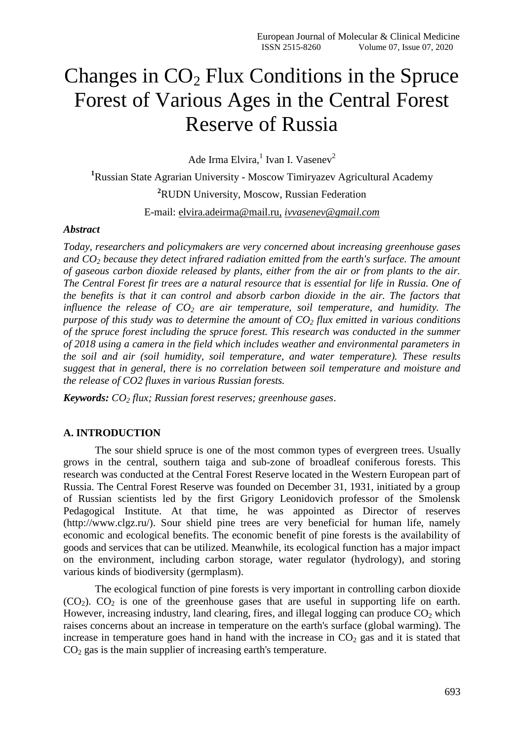# Changes in  $CO<sub>2</sub>$  Flux Conditions in the Spruce Forest of Various Ages in the Central Forest Reserve of Russia

Ade Irma Elvira,<sup>1</sup> Ivan I. Vasenev<sup>2</sup>

**<sup>1</sup>**Russian State Agrarian University - Moscow Timiryazev Agricultural Academy **<sup>2</sup>**RUDN University, Moscow, Russian Federation

E-mail: [elvira.adeirma@mail.ru,](mailto:elvira.adeirma@mail.ru) *ivvasenev@gmail.com*

### *Abstract*

*Today, researchers and policymakers are very concerned about increasing greenhouse gases and CO<sup>2</sup> because they detect infrared radiation emitted from the earth's surface. The amount of gaseous carbon dioxide released by plants, either from the air or from plants to the air. The Central Forest fir trees are a natural resource that is essential for life in Russia. One of the benefits is that it can control and absorb carbon dioxide in the air. The factors that influence the release of CO<sup>2</sup> are air temperature, soil temperature, and humidity. The purpose of this study was to determine the amount of CO<sup>2</sup> flux emitted in various conditions of the spruce forest including the spruce forest. This research was conducted in the summer of 2018 using a camera in the field which includes weather and environmental parameters in the soil and air (soil humidity, soil temperature, and water temperature). These results suggest that in general, there is no correlation between soil temperature and moisture and the release of CO2 fluxes in various Russian forests.*

*Keywords: CO<sup>2</sup> flux; Russian forest reserves; greenhouse gases*.

# **A. INTRODUCTION**

The sour shield spruce is one of the most common types of evergreen trees. Usually grows in the central, southern taiga and sub-zone of broadleaf coniferous forests. This research was conducted at the Central Forest Reserve located in the Western European part of Russia. The Central Forest Reserve was founded on December 31, 1931, initiated by a group of Russian scientists led by the first Grigory Leonidovich professor of the Smolensk Pedagogical Institute. At that time, he was appointed as Director of reserves (http://www.clgz.ru/). Sour shield pine trees are very beneficial for human life, namely economic and ecological benefits. The economic benefit of pine forests is the availability of goods and services that can be utilized. Meanwhile, its ecological function has a major impact on the environment, including carbon storage, water regulator (hydrology), and storing various kinds of biodiversity (germplasm).

The ecological function of pine forests is very important in controlling carbon dioxide  $(CO<sub>2</sub>)$ .  $CO<sub>2</sub>$  is one of the greenhouse gases that are useful in supporting life on earth. However, increasing industry, land clearing, fires, and illegal logging can produce  $CO<sub>2</sub>$  which raises concerns about an increase in temperature on the earth's surface (global warming). The increase in temperature goes hand in hand with the increase in  $CO<sub>2</sub>$  gas and it is stated that  $CO<sub>2</sub>$  gas is the main supplier of increasing earth's temperature.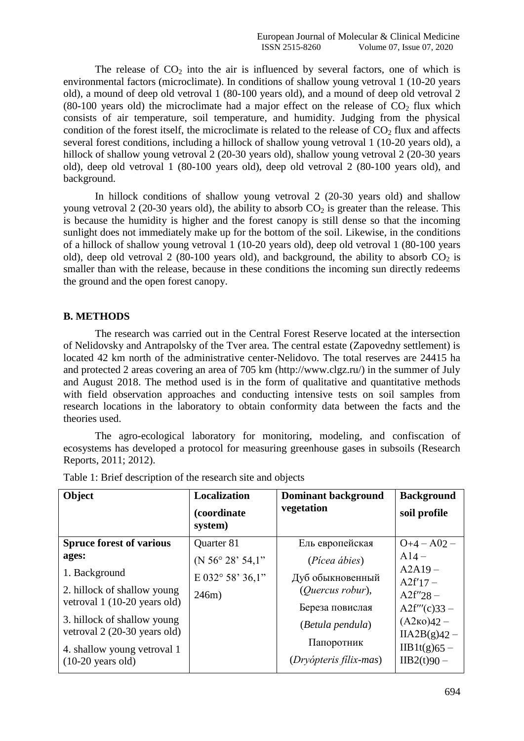The release of  $CO<sub>2</sub>$  into the air is influenced by several factors, one of which is environmental factors (microclimate). In conditions of shallow young vetroval 1 (10-20 years old), a mound of deep old vetroval 1 (80-100 years old), and a mound of deep old vetroval 2 (80-100 years old) the microclimate had a major effect on the release of  $CO<sub>2</sub>$  flux which consists of air temperature, soil temperature, and humidity. Judging from the physical condition of the forest itself, the microclimate is related to the release of  $CO<sub>2</sub>$  flux and affects several forest conditions, including a hillock of shallow young vetroval 1 (10-20 years old), a hillock of shallow young vetroval 2 (20-30 years old), shallow young vetroval 2 (20-30 years old), deep old vetroval 1 (80-100 years old), deep old vetroval 2 (80-100 years old), and background.

In hillock conditions of shallow young vetroval 2 (20-30 years old) and shallow young vetroval 2 (20-30 years old), the ability to absorb  $CO<sub>2</sub>$  is greater than the release. This is because the humidity is higher and the forest canopy is still dense so that the incoming sunlight does not immediately make up for the bottom of the soil. Likewise, in the conditions of a hillock of shallow young vetroval 1 (10-20 years old), deep old vetroval 1 (80-100 years old), deep old vetroval 2 (80-100 years old), and background, the ability to absorb  $CO<sub>2</sub>$  is smaller than with the release, because in these conditions the incoming sun directly redeems the ground and the open forest canopy.

# **B. METHODS**

The research was carried out in the Central Forest Reserve located at the intersection of Nelidovsky and Antrapolsky of the Tver area. The central estate (Zapovedny settlement) is located 42 km north of the administrative center-Nelidovo. The total reserves are 24415 ha and protected 2 areas covering an area of 705 km (http://www.clgz.ru/) in the summer of July and August 2018. The method used is in the form of qualitative and quantitative methods with field observation approaches and conducting intensive tests on soil samples from research locations in the laboratory to obtain conformity data between the facts and the theories used.

The agro-ecological laboratory for monitoring, modeling, and confiscation of ecosystems has developed a protocol for measuring greenhouse gases in subsoils (Research Reports, 2011; 2012).

| Object                                                                                                                                                                                                             | <b>Localization</b><br>(coordinate)<br>system)           | <b>Dominant background</b><br>vegetation                                                                                             | <b>Background</b><br>soil profile                                                                                                           |
|--------------------------------------------------------------------------------------------------------------------------------------------------------------------------------------------------------------------|----------------------------------------------------------|--------------------------------------------------------------------------------------------------------------------------------------|---------------------------------------------------------------------------------------------------------------------------------------------|
| <b>Spruce forest of various</b>                                                                                                                                                                                    | Quarter 81                                               | Ель европейская                                                                                                                      | $O+4 - A02 -$                                                                                                                               |
| ages:<br>1. Background<br>2. hillock of shallow young<br>vetroval 1 (10-20 years old)<br>3. hillock of shallow young<br>vetroval 2 (20-30 years old)<br>4. shallow young vetroval 1<br>$(10-20 \text{ years old})$ | (N $56^{\circ}$ 28' $54.1"$<br>E 032° 58' 36,1"<br>246m) | (Pícea ábies)<br>Дуб обыкновенный<br>(Ouercus robur),<br>Береза повислая<br>(Betula pendula)<br>Папоротник<br>(Dryópteris fílix-mas) | $A14-$<br>$A2A19-$<br>$A2f'17-$<br>$A2f''28 -$<br>$A2f'''(c)33 -$<br>$(A2\kappa 0)42 -$<br>$IIA2B(g)42 -$<br>$IIB1t(g)65 -$<br>$IIB2(t)90-$ |

Table 1: Brief description of the research site and objects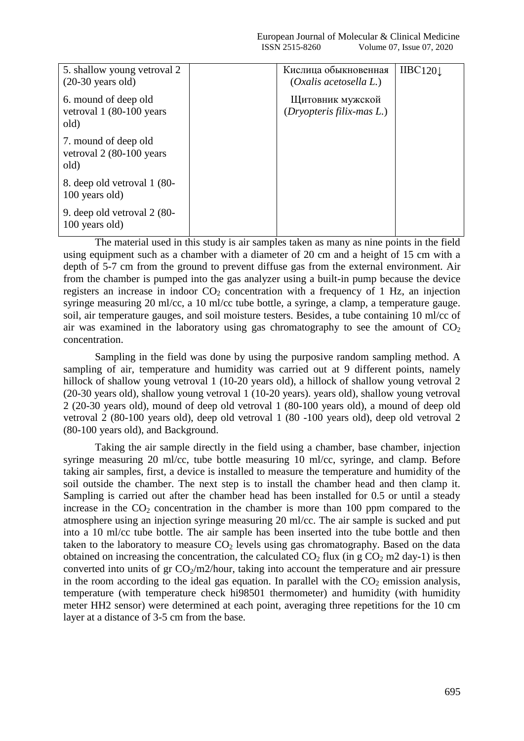| 5. shallow young vetroval 2<br>$(20-30 \text{ years old})$ | Кислица обыкновенная<br>$(Oxalis \, acetosella \, L.)$ | IIBC120 |
|------------------------------------------------------------|--------------------------------------------------------|---------|
| 6. mound of deep old<br>vetroval 1 (80-100 years)<br>old)  | Щитовник мужской<br>(Dryopteris filix-mas L.)          |         |
| 7. mound of deep old<br>vetroval 2 (80-100 years)<br>old)  |                                                        |         |
| 8. deep old vetroval 1 (80-<br>100 years old)              |                                                        |         |
| 9. deep old vetroval 2 (80-<br>100 years old)              |                                                        |         |

The material used in this study is air samples taken as many as nine points in the field using equipment such as a chamber with a diameter of 20 cm and a height of 15 cm with a depth of 5-7 cm from the ground to prevent diffuse gas from the external environment. Air from the chamber is pumped into the gas analyzer using a built-in pump because the device registers an increase in indoor  $CO<sub>2</sub>$  concentration with a frequency of 1 Hz, an injection syringe measuring 20 ml/cc, a 10 ml/cc tube bottle, a syringe, a clamp, a temperature gauge. soil, air temperature gauges, and soil moisture testers. Besides, a tube containing 10 ml/cc of air was examined in the laboratory using gas chromatography to see the amount of  $CO<sub>2</sub>$ concentration.

Sampling in the field was done by using the purposive random sampling method. A sampling of air, temperature and humidity was carried out at 9 different points, namely hillock of shallow young vetroval 1 (10-20 years old), a hillock of shallow young vetroval 2 (20-30 years old), shallow young vetroval 1 (10-20 years). years old), shallow young vetroval 2 (20-30 years old), mound of deep old vetroval 1 (80-100 years old), a mound of deep old vetroval 2 (80-100 years old), deep old vetroval 1 (80 -100 years old), deep old vetroval 2 (80-100 years old), and Background.

Taking the air sample directly in the field using a chamber, base chamber, injection syringe measuring 20 ml/cc, tube bottle measuring 10 ml/cc, syringe, and clamp. Before taking air samples, first, a device is installed to measure the temperature and humidity of the soil outside the chamber. The next step is to install the chamber head and then clamp it. Sampling is carried out after the chamber head has been installed for 0.5 or until a steady increase in the  $CO<sub>2</sub>$  concentration in the chamber is more than 100 ppm compared to the atmosphere using an injection syringe measuring 20 ml/cc. The air sample is sucked and put into a 10 ml/cc tube bottle. The air sample has been inserted into the tube bottle and then taken to the laboratory to measure  $CO<sub>2</sub>$  levels using gas chromatography. Based on the data obtained on increasing the concentration, the calculated  $CO<sub>2</sub>$  flux (in g  $CO<sub>2</sub>$  m2 day-1) is then converted into units of gr  $CO<sub>2</sub>/m2/h$ our, taking into account the temperature and air pressure in the room according to the ideal gas equation. In parallel with the  $CO<sub>2</sub>$  emission analysis, temperature (with temperature check hi98501 thermometer) and humidity (with humidity meter HH2 sensor) were determined at each point, averaging three repetitions for the 10 cm layer at a distance of 3-5 cm from the base.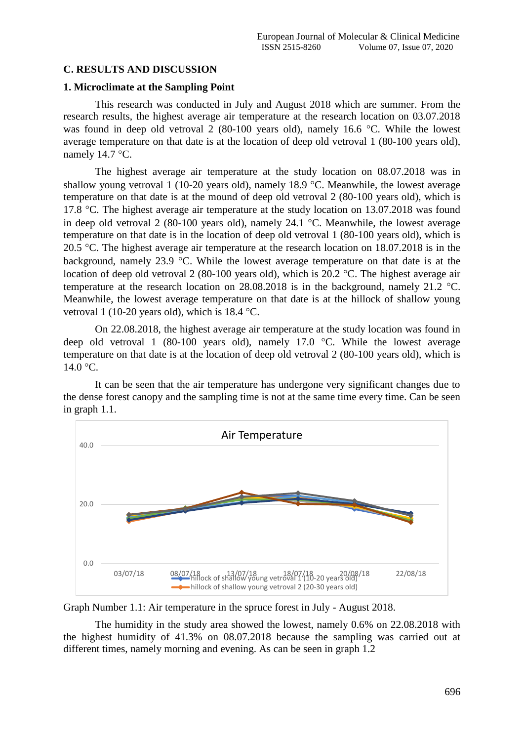# **C. RESULTS AND DISCUSSION**

## **1. Microclimate at the Sampling Point**

This research was conducted in July and August 2018 which are summer. From the research results, the highest average air temperature at the research location on 03.07.2018 was found in deep old vetroval  $2$  (80-100 years old), namely 16.6 °C. While the lowest average temperature on that date is at the location of deep old vetroval 1 (80-100 years old), namely  $14.7$  °C.

The highest average air temperature at the study location on 08.07.2018 was in shallow young vetroval 1 (10-20 years old), namely 18.9  $\degree$ C. Meanwhile, the lowest average temperature on that date is at the mound of deep old vetroval 2 (80-100 years old), which is 17.8 °C. The highest average air temperature at the study location on  $13.07.2018$  was found in deep old vetroval 2 (80-100 years old), namely 24.1  $\degree$ C. Meanwhile, the lowest average temperature on that date is in the location of deep old vetroval 1 (80-100 years old), which is 20.5 °C. The highest average air temperature at the research location on  $18.07.2018$  is in the background, namely 23.9  $\degree$ C. While the lowest average temperature on that date is at the location of deep old vetroval 2 (80-100 years old), which is 20.2  $\degree$ C. The highest average air temperature at the research location on 28.08.2018 is in the background, namely 21.2  $^{\circ}$ C. Meanwhile, the lowest average temperature on that date is at the hillock of shallow young vetroval 1 (10-20 years old), which is  $18.4 \text{ °C}$ .

On 22.08.2018, the highest average air temperature at the study location was found in deep old vetroval 1 (80-100 years old), namely 17.0  $\degree$ C. While the lowest average temperature on that date is at the location of deep old vetroval 2 (80-100 years old), which is  $14.0 °C$ .

It can be seen that the air temperature has undergone very significant changes due to the dense forest canopy and the sampling time is not at the same time every time. Can be seen in graph 1.1.



Graph Number 1.1: Air temperature in the spruce forest in July - August 2018.

The humidity in the study area showed the lowest, namely 0.6% on 22.08.2018 with the highest humidity of 41.3% on 08.07.2018 because the sampling was carried out at different times, namely morning and evening. As can be seen in graph 1.2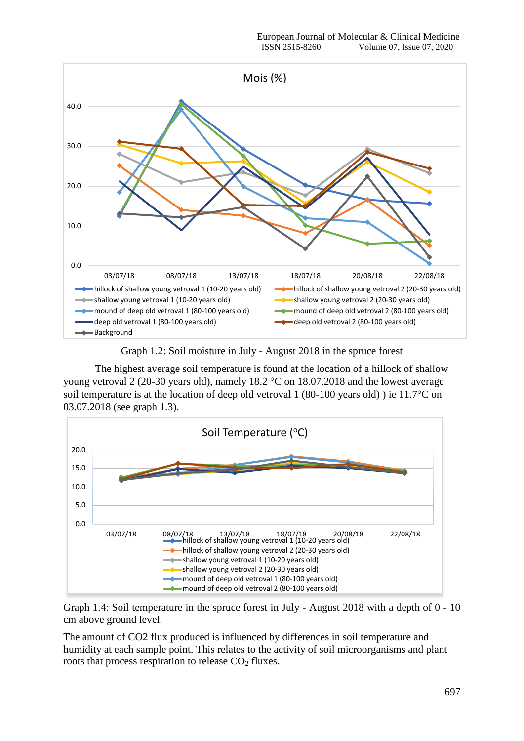

Graph 1.2: Soil moisture in July - August 2018 in the spruce forest

The highest average soil temperature is found at the location of a hillock of shallow young vetroval 2 (20-30 years old), namely  $18.2 \degree$ C on  $18.07.2018$  and the lowest average soil temperature is at the location of deep old vetroval 1 (80-100 years old) ) ie  $11.7^{\circ}$ C on 03.07.2018 (see graph 1.3).



Graph 1.4: Soil temperature in the spruce forest in July - August 2018 with a depth of 0 - 10 cm above ground level.

The amount of CO2 flux produced is influenced by differences in soil temperature and humidity at each sample point. This relates to the activity of soil microorganisms and plant roots that process respiration to release  $CO<sub>2</sub>$  fluxes.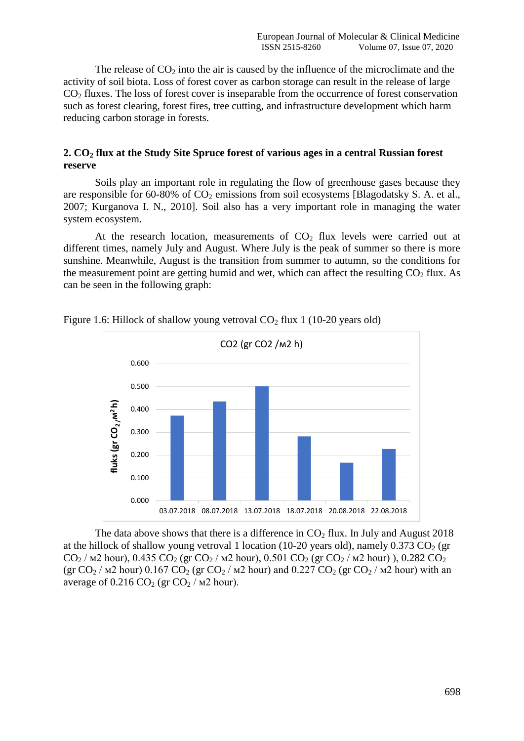The release of  $CO<sub>2</sub>$  into the air is caused by the influence of the microclimate and the activity of soil biota. Loss of forest cover as carbon storage can result in the release of large  $CO<sub>2</sub>$  fluxes. The loss of forest cover is inseparable from the occurrence of forest conservation such as forest clearing, forest fires, tree cutting, and infrastructure development which harm reducing carbon storage in forests.

### **2. CO<sup>2</sup> flux at the Study Site Spruce forest of various ages in a central Russian forest reserve**

Soils play an important role in regulating the flow of greenhouse gases because they are responsible for 60-80% of  $CO<sub>2</sub>$  emissions from soil ecosystems [Blagodatsky S. A. et al., 2007; Kurganova I. N., 2010]. Soil also has a very important role in managing the water system ecosystem.

At the research location, measurements of  $CO<sub>2</sub>$  flux levels were carried out at different times, namely July and August. Where July is the peak of summer so there is more sunshine. Meanwhile, August is the transition from summer to autumn, so the conditions for the measurement point are getting humid and wet, which can affect the resulting  $CO<sub>2</sub>$  flux. As can be seen in the following graph:



Figure 1.6: Hillock of shallow young vetroval  $CO<sub>2</sub>$  flux 1 (10-20 years old)

The data above shows that there is a difference in  $CO<sub>2</sub>$  flux. In July and August 2018 at the hillock of shallow young vetroval 1 location (10-20 years old), namely 0.373 CO<sub>2</sub> (gr CO<sub>2</sub> /  $\mu$ 2 hour), 0.435 CO<sub>2</sub> (gr CO<sub>2</sub> /  $\mu$ 2 hour), 0.501 CO<sub>2</sub> (gr CO<sub>2</sub> /  $\mu$ 2 hour)), 0.282 CO<sub>2</sub> (gr CO<sub>2</sub> /  $\text{M2}$  hour) 0.167 CO<sub>2</sub> (gr CO<sub>2</sub> /  $\text{M2}$  hour) and 0.227 CO<sub>2</sub> (gr CO<sub>2</sub> /  $\text{M2}$  hour) with an average of  $0.216 \text{ CO}_2$  (gr  $\text{CO}_2$  /  $\text{M2}$  hour).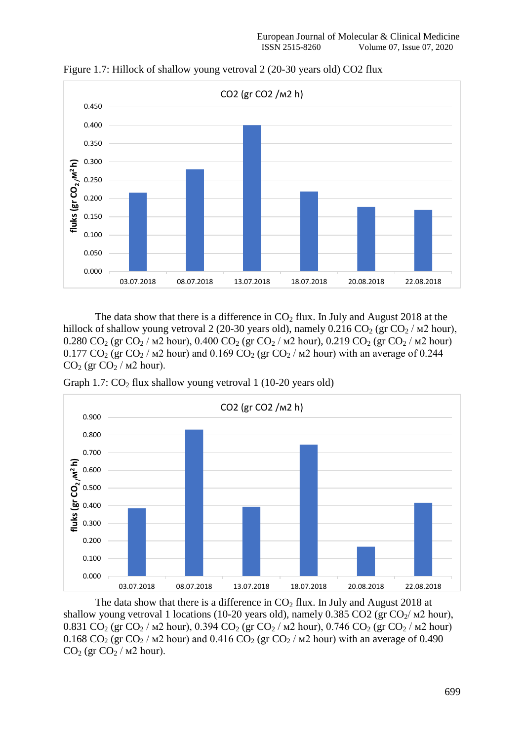

Figure 1.7: Hillock of shallow young vetroval 2 (20-30 years old) CO2 flux

The data show that there is a difference in  $CO<sub>2</sub>$  flux. In July and August 2018 at the hillock of shallow young vetroval 2 (20-30 years old), namely 0.216 CO<sub>2</sub> (gr CO<sub>2</sub> /  $\text{M2}$  hour), 0.280 CO<sub>2</sub> (gr CO<sub>2</sub> /  $\mu$ 2 hour), 0.400 CO<sub>2</sub> (gr CO<sub>2</sub> /  $\mu$ 2 hour), 0.219 CO<sub>2</sub> (gr CO<sub>2</sub> /  $\mu$ 2 hour) 0.177 CO<sub>2</sub> (gr CO<sub>2</sub> /  $\mu$ 2 hour) and 0.169 CO<sub>2</sub> (gr CO<sub>2</sub> /  $\mu$ 2 hour) with an average of 0.244  $CO<sub>2</sub>$  (gr  $CO<sub>2</sub>$  / m2 hour).





The data show that there is a difference in  $CO<sub>2</sub>$  flux. In July and August 2018 at shallow young vetroval 1 locations (10-20 years old), namely 0.385 CO2 (gr CO<sub>2</sub>/  $\mu$ 2 hour), 0.831 CO<sub>2</sub> (gr CO<sub>2</sub> /  $\mu$ 2 hour), 0.394 CO<sub>2</sub> (gr CO<sub>2</sub> /  $\mu$ 2 hour), 0.746 CO<sub>2</sub> (gr CO<sub>2</sub> /  $\mu$ 2 hour) 0.168 CO<sub>2</sub> (gr CO<sub>2</sub> /  $\mu$ 2 hour) and 0.416 CO<sub>2</sub> (gr CO<sub>2</sub> /  $\mu$ 2 hour) with an average of 0.490  $CO<sub>2</sub>$  (gr  $CO<sub>2</sub>$  /  $M<sub>2</sub>$  hour).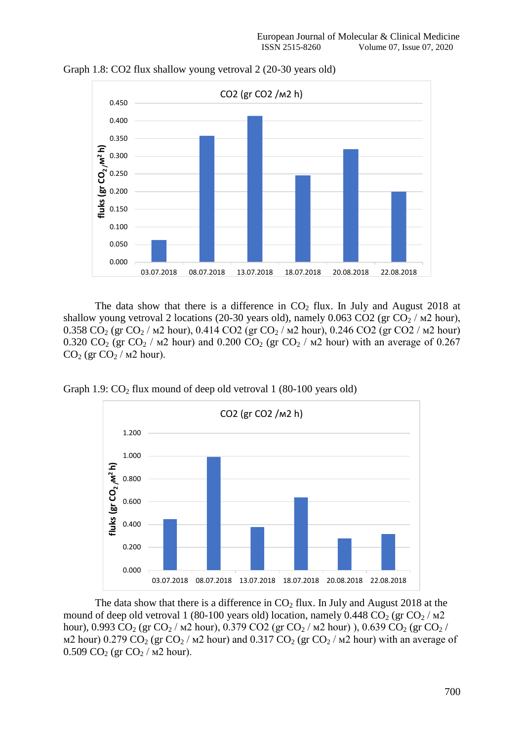

Graph 1.8: CO2 flux shallow young vetroval 2 (20-30 years old)

The data show that there is a difference in  $CO<sub>2</sub>$  flux. In July and August 2018 at shallow young vetroval 2 locations (20-30 years old), namely 0.063 CO2 (gr CO<sub>2</sub> /  $\mu$ 2 hour), 0.358 CO<sub>2</sub> (gr CO<sub>2</sub> /  $M2$  hour), 0.414 CO2 (gr CO<sub>2</sub> /  $M2$  hour), 0.246 CO2 (gr CO2 /  $M2$  hour) 0.320 CO<sub>2</sub> (gr CO<sub>2</sub> /  $\mu$ 2 hour) and 0.200 CO<sub>2</sub> (gr CO<sub>2</sub> /  $\mu$ 2 hour) with an average of 0.267  $CO<sub>2</sub>$  (gr  $CO<sub>2</sub>$  /  $M<sub>2</sub>$  hour).

Graph 1.9:  $CO<sub>2</sub>$  flux mound of deep old vetroval 1 (80-100 years old)



The data show that there is a difference in  $CO<sub>2</sub>$  flux. In July and August 2018 at the mound of deep old vetroval 1 (80-100 years old) location, namely 0.448  $CO_2$  (gr  $CO_2$  /  $M2$ hour), 0.993 CO<sub>2</sub> (gr CO<sub>2</sub> /  $M2$  hour), 0.379 CO2 (gr CO<sub>2</sub> /  $M2$  hour)), 0.639 CO<sub>2</sub> (gr CO<sub>2</sub> / м2 hour) 0.279 CO<sub>2</sub> (gr CO<sub>2</sub> / м2 hour) and 0.317 CO<sub>2</sub> (gr CO<sub>2</sub> / м2 hour) with an average of 0.509 CO<sub>2</sub> (gr CO<sub>2</sub> /  $M2$  hour).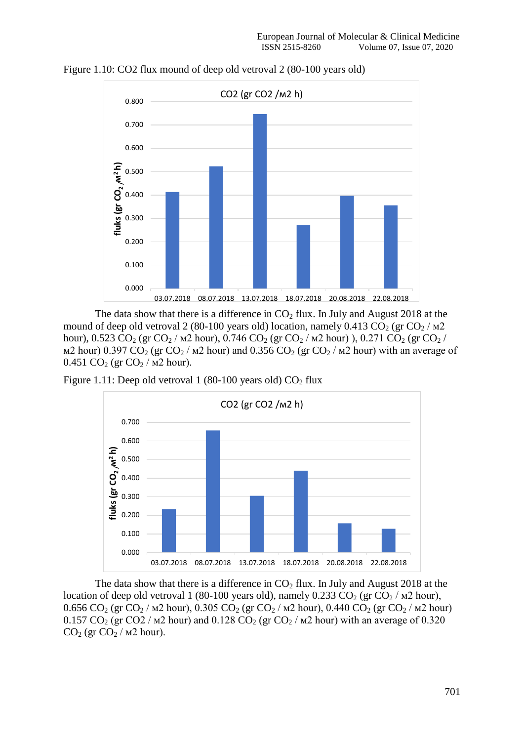

Figure 1.10: CO2 flux mound of deep old vetroval 2 (80-100 years old)

The data show that there is a difference in  $CO<sub>2</sub>$  flux. In July and August 2018 at the mound of deep old vetroval 2 (80-100 years old) location, namely 0.413 CO<sub>2</sub> (gr CO<sub>2</sub> /  $\text{M2}$ ) hour), 0.523 CO<sub>2</sub> (gr CO<sub>2</sub> /  $\mu$ 2 hour), 0.746 CO<sub>2</sub> (gr CO<sub>2</sub> /  $\mu$ 2 hour)), 0.271 CO<sub>2</sub> (gr CO<sub>2</sub> / м2 hour) 0.397 CO<sub>2</sub> (gr CO<sub>2</sub> / м2 hour) and 0.356 CO<sub>2</sub> (gr CO<sub>2</sub> / м2 hour) with an average of 0.451 CO<sub>2</sub> (gr CO<sub>2</sub> /  $\mu$ 2 hour).

Figure 1.11: Deep old vetroval 1 (80-100 years old)  $CO<sub>2</sub>$  flux



The data show that there is a difference in  $CO<sub>2</sub>$  flux. In July and August 2018 at the location of deep old vetroval 1 (80-100 years old), namely 0.233 CO<sub>2</sub> (gr CO<sub>2</sub> /  $\mu$ 2 hour), 0.656 CO<sub>2</sub> (gr CO<sub>2</sub> /  $M2$  hour), 0.305 CO<sub>2</sub> (gr CO<sub>2</sub> /  $M2$  hour), 0.440 CO<sub>2</sub> (gr CO<sub>2</sub> /  $M2$  hour) 0.157 CO<sub>2</sub> (gr CO2 /  $\text{M2}$  hour) and 0.128 CO<sub>2</sub> (gr CO<sub>2</sub> /  $\text{M2}$  hour) with an average of 0.320  $CO<sub>2</sub>$  (gr  $CO<sub>2</sub>$  /  $M<sub>2</sub>$  hour).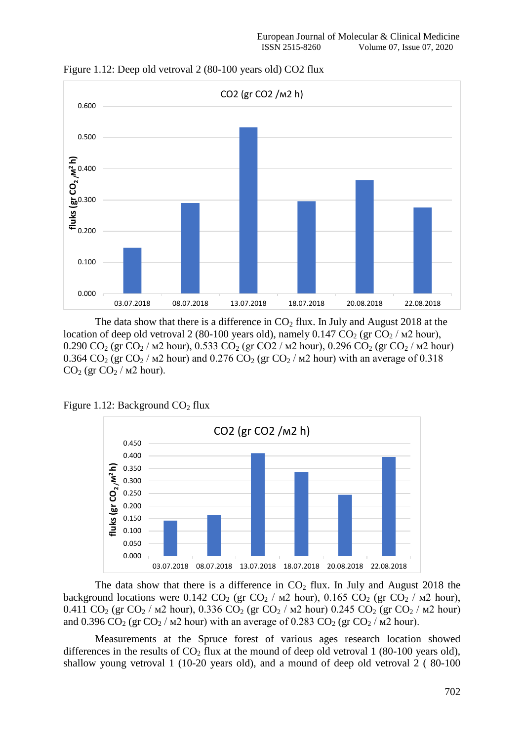

Figure 1.12: Deep old vetroval 2 (80-100 years old) CO2 flux

The data show that there is a difference in  $CO<sub>2</sub>$  flux. In July and August 2018 at the location of deep old vetroval 2 (80-100 years old), namely 0.147  $CO_2$  (gr  $CO_2$  /  $\mu$ 2 hour), 0.290 CO<sub>2</sub> (gr CO<sub>2</sub> /  $M2$  hour), 0.533 CO<sub>2</sub> (gr CO2 /  $M2$  hour), 0.296 CO<sub>2</sub> (gr CO<sub>2</sub> /  $M2$  hour) 0.364 CO<sub>2</sub> (gr CO<sub>2</sub> /  $\mu$ 2 hour) and 0.276 CO<sub>2</sub> (gr CO<sub>2</sub> /  $\mu$ 2 hour) with an average of 0.318  $CO<sub>2</sub>$  (gr  $CO<sub>2</sub>$  / m2 hour).





The data show that there is a difference in  $CO<sub>2</sub>$  flux. In July and August 2018 the background locations were 0.142 CO<sub>2</sub> (gr CO<sub>2</sub> /  $\mu$ 2 hour), 0.165 CO<sub>2</sub> (gr CO<sub>2</sub> /  $\mu$ 2 hour), 0.411 CO<sub>2</sub> (gr CO<sub>2</sub> /  $M$ 2 hour), 0.336 CO<sub>2</sub> (gr CO<sub>2</sub> /  $M$ 2 hour) 0.245 CO<sub>2</sub> (gr CO<sub>2</sub> /  $M$ 2 hour) and 0.396 CO<sub>2</sub> (gr CO<sub>2</sub> /  $M2$  hour) with an average of 0.283 CO<sub>2</sub> (gr CO<sub>2</sub> /  $M2$  hour).

Measurements at the Spruce forest of various ages research location showed differences in the results of  $CO<sub>2</sub>$  flux at the mound of deep old vetroval 1 (80-100 years old), shallow young vetroval 1 (10-20 years old), and a mound of deep old vetroval 2 ( 80-100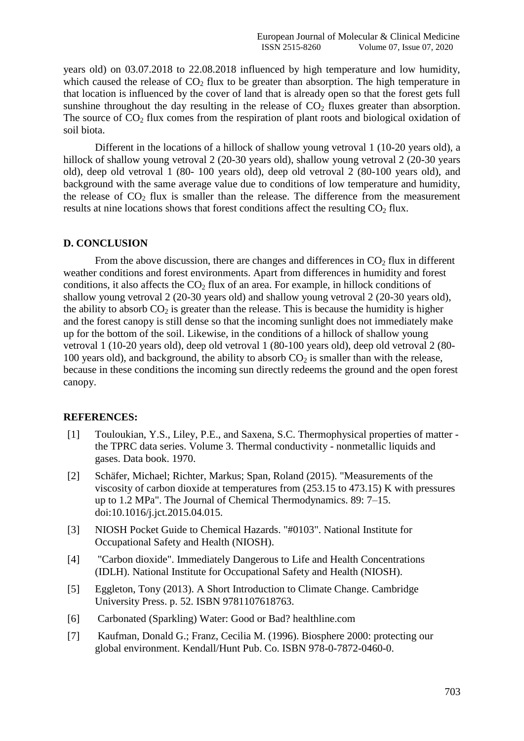years old) on 03.07.2018 to 22.08.2018 influenced by high temperature and low humidity, which caused the release of  $CO<sub>2</sub>$  flux to be greater than absorption. The high temperature in that location is influenced by the cover of land that is already open so that the forest gets full sunshine throughout the day resulting in the release of  $CO<sub>2</sub>$  fluxes greater than absorption. The source of  $CO<sub>2</sub>$  flux comes from the respiration of plant roots and biological oxidation of soil biota.

Different in the locations of a hillock of shallow young vetroval 1 (10-20 years old), a hillock of shallow young vetroval 2 (20-30 years old), shallow young vetroval 2 (20-30 years old), deep old vetroval 1 (80- 100 years old), deep old vetroval 2 (80-100 years old), and background with the same average value due to conditions of low temperature and humidity, the release of  $CO<sub>2</sub>$  flux is smaller than the release. The difference from the measurement results at nine locations shows that forest conditions affect the resulting  $CO<sub>2</sub>$  flux.

#### **D. CONCLUSION**

From the above discussion, there are changes and differences in  $CO<sub>2</sub>$  flux in different weather conditions and forest environments. Apart from differences in humidity and forest conditions, it also affects the  $CO<sub>2</sub>$  flux of an area. For example, in hillock conditions of shallow young vetroval 2 (20-30 years old) and shallow young vetroval 2 (20-30 years old), the ability to absorb  $CO<sub>2</sub>$  is greater than the release. This is because the humidity is higher and the forest canopy is still dense so that the incoming sunlight does not immediately make up for the bottom of the soil. Likewise, in the conditions of a hillock of shallow young vetroval 1 (10-20 years old), deep old vetroval 1 (80-100 years old), deep old vetroval 2 (80- 100 years old), and background, the ability to absorb  $CO<sub>2</sub>$  is smaller than with the release, because in these conditions the incoming sun directly redeems the ground and the open forest canopy.

#### **REFERENCES:**

- [1] Touloukian, Y.S., Liley, P.E., and Saxena, S.C. Thermophysical properties of matter the TPRC data series. Volume 3. Thermal conductivity - nonmetallic liquids and gases. Data book. 1970.
- [2] Schäfer, Michael; Richter, Markus; Span, Roland (2015). "Measurements of the viscosity of carbon dioxide at temperatures from (253.15 to 473.15) K with pressures up to 1.2 MPa". The Journal of Chemical Thermodynamics. 89: 7–15. doi:10.1016/j.jct.2015.04.015.
- [3] NIOSH Pocket Guide to Chemical Hazards. "#0103". National Institute for Occupational Safety and Health (NIOSH).
- [4] "Carbon dioxide". Immediately Dangerous to Life and Health Concentrations (IDLH). National Institute for Occupational Safety and Health (NIOSH).
- [5] Eggleton, Tony (2013). A Short Introduction to Climate Change. Cambridge University Press. p. 52. ISBN 9781107618763.
- [6] Carbonated (Sparkling) Water: Good or Bad? healthline.com
- [7] Kaufman, Donald G.; Franz, Cecilia M. (1996). Biosphere 2000: protecting our global environment. Kendall/Hunt Pub. Co. ISBN 978-0-7872-0460-0.